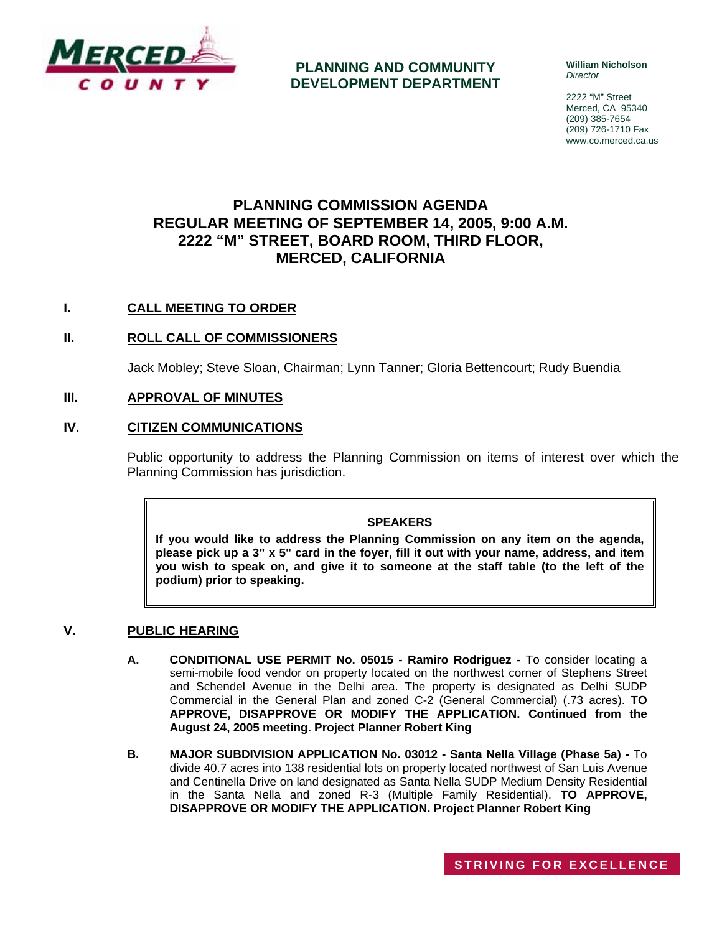

**PLANNING AND COMMUNITY DEVELOPMENT DEPARTMENT** **William Nicholson**  *Director* 

2222 "M" Street Merced, CA 95340 (209) 385-7654 (209) 726-1710 Fax www.co.merced.ca.us

# **PLANNING COMMISSION AGENDA REGULAR MEETING OF SEPTEMBER 14, 2005, 9:00 A.M. 2222 "M" STREET, BOARD ROOM, THIRD FLOOR, MERCED, CALIFORNIA**

# **I. CALL MEETING TO ORDER**

# **II. ROLL CALL OF COMMISSIONERS**

Jack Mobley; Steve Sloan, Chairman; Lynn Tanner; Gloria Bettencourt; Rudy Buendia

## **III. APPROVAL OF MINUTES**

# **IV. CITIZEN COMMUNICATIONS**

Public opportunity to address the Planning Commission on items of interest over which the Planning Commission has jurisdiction.

#### **SPEAKERS**

**If you would like to address the Planning Commission on any item on the agenda, please pick up a 3" x 5" card in the foyer, fill it out with your name, address, and item you wish to speak on, and give it to someone at the staff table (to the left of the podium) prior to speaking.**

### **V. PUBLIC HEARING**

- **A. CONDITIONAL USE PERMIT No. 05015 Ramiro Rodriguez** To consider locating a semi-mobile food vendor on property located on the northwest corner of Stephens Street and Schendel Avenue in the Delhi area. The property is designated as Delhi SUDP Commercial in the General Plan and zoned C-2 (General Commercial) (.73 acres). **TO APPROVE, DISAPPROVE OR MODIFY THE APPLICATION. Continued from the August 24, 2005 meeting. Project Planner Robert King**
- **B. MAJOR SUBDIVISION APPLICATION No. 03012 Santa Nella Village (Phase 5a)** To divide 40.7 acres into 138 residential lots on property located northwest of San Luis Avenue and Centinella Drive on land designated as Santa Nella SUDP Medium Density Residential in the Santa Nella and zoned R-3 (Multiple Family Residential). **TO APPROVE, DISAPPROVE OR MODIFY THE APPLICATION. Project Planner Robert King**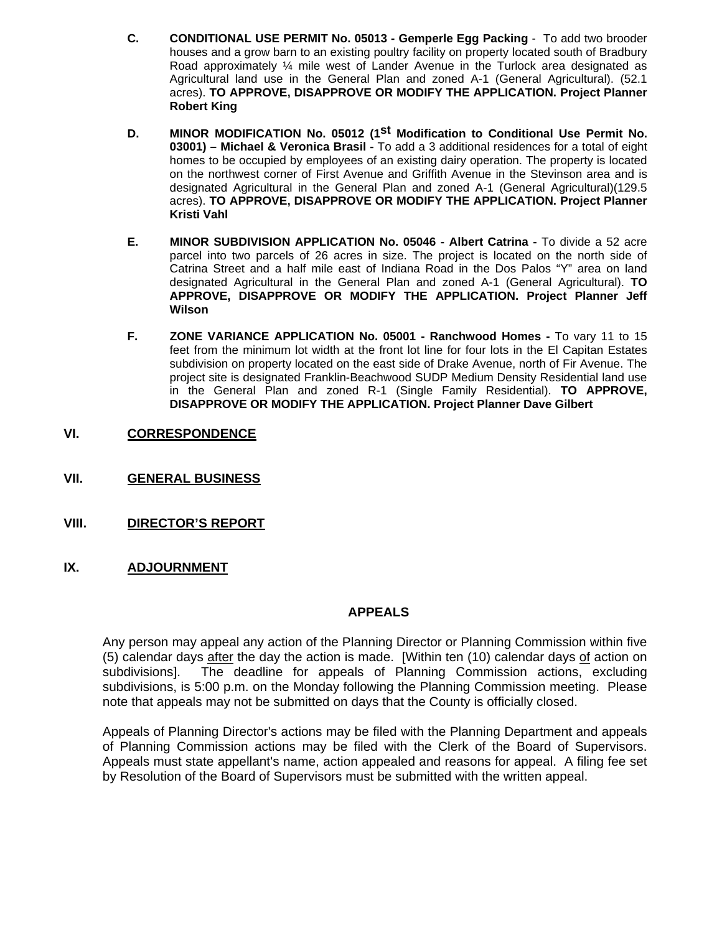- **C. CONDITIONAL USE PERMIT No. 05013 Gemperle Egg Packing** To add two brooder houses and a grow barn to an existing poultry facility on property located south of Bradbury Road approximately ¼ mile west of Lander Avenue in the Turlock area designated as Agricultural land use in the General Plan and zoned A-1 (General Agricultural). (52.1 acres). **TO APPROVE, DISAPPROVE OR MODIFY THE APPLICATION. Project Planner Robert King**
- **D. MINOR MODIFICATION No. 05012 (1st Modification to Conditional Use Permit No. 03001) – Michael & Veronica Brasil -** To add a 3 additional residences for a total of eight homes to be occupied by employees of an existing dairy operation. The property is located on the northwest corner of First Avenue and Griffith Avenue in the Stevinson area and is designated Agricultural in the General Plan and zoned A-1 (General Agricultural)(129.5 acres). **TO APPROVE, DISAPPROVE OR MODIFY THE APPLICATION. Project Planner Kristi Vahl**
- **E. MINOR SUBDIVISION APPLICATION No. 05046 Albert Catrina** To divide a 52 acre parcel into two parcels of 26 acres in size. The project is located on the north side of Catrina Street and a half mile east of Indiana Road in the Dos Palos "Y" area on land designated Agricultural in the General Plan and zoned A-1 (General Agricultural). **TO APPROVE, DISAPPROVE OR MODIFY THE APPLICATION. Project Planner Jeff Wilson**
- **F. ZONE VARIANCE APPLICATION No. 05001 Ranchwood Homes** To vary 11 to 15 feet from the minimum lot width at the front lot line for four lots in the El Capitan Estates subdivision on property located on the east side of Drake Avenue, north of Fir Avenue. The project site is designated Franklin-Beachwood SUDP Medium Density Residential land use in the General Plan and zoned R-1 (Single Family Residential). **TO APPROVE, DISAPPROVE OR MODIFY THE APPLICATION. Project Planner Dave Gilbert**
- **VI. CORRESPONDENCE**
- **VII. GENERAL BUSINESS**
- **VIII. DIRECTOR'S REPORT**
- **IX. ADJOURNMENT**

### **APPEALS**

Any person may appeal any action of the Planning Director or Planning Commission within five (5) calendar days after the day the action is made. [Within ten (10) calendar days of action on subdivisions]. The deadline for appeals of Planning Commission actions, excluding subdivisions, is 5:00 p.m. on the Monday following the Planning Commission meeting. Please note that appeals may not be submitted on days that the County is officially closed.

Appeals of Planning Director's actions may be filed with the Planning Department and appeals of Planning Commission actions may be filed with the Clerk of the Board of Supervisors. Appeals must state appellant's name, action appealed and reasons for appeal. A filing fee set by Resolution of the Board of Supervisors must be submitted with the written appeal.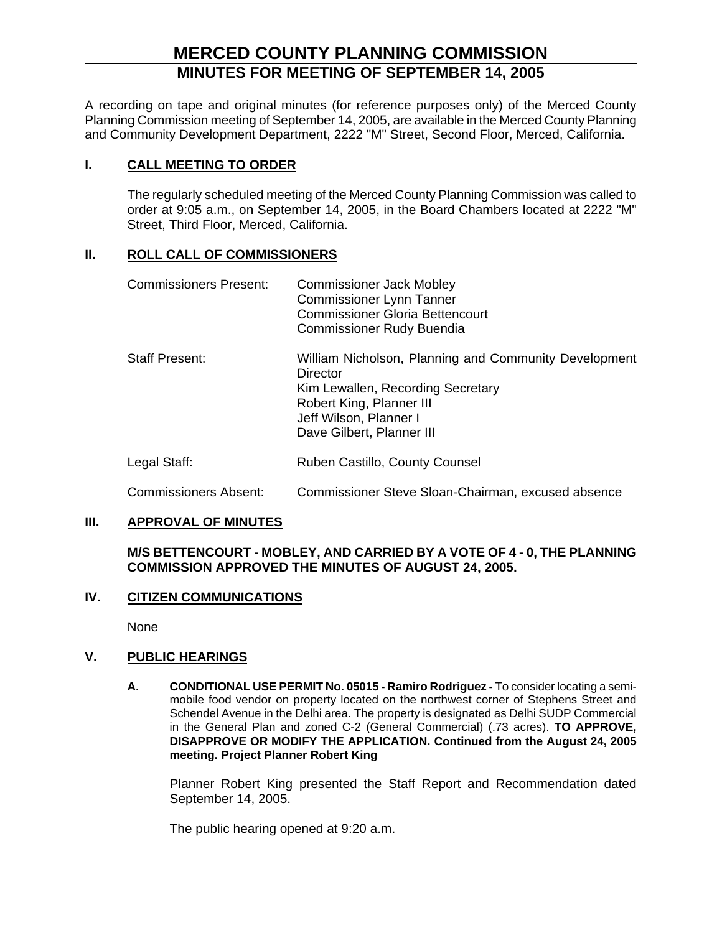# **MERCED COUNTY PLANNING COMMISSION MINUTES FOR MEETING OF SEPTEMBER 14, 2005**

A recording on tape and original minutes (for reference purposes only) of the Merced County Planning Commission meeting of September 14, 2005, are available in the Merced County Planning and Community Development Department, 2222 "M" Street, Second Floor, Merced, California.

# **I. CALL MEETING TO ORDER**

The regularly scheduled meeting of the Merced County Planning Commission was called to order at 9:05 a.m., on September 14, 2005, in the Board Chambers located at 2222 "M" Street, Third Floor, Merced, California.

# **II. ROLL CALL OF COMMISSIONERS**

| <b>Commissioners Present:</b> | <b>Commissioner Jack Mobley</b><br><b>Commissioner Lynn Tanner</b><br><b>Commissioner Gloria Bettencourt</b><br><b>Commissioner Rudy Buendia</b>                                          |
|-------------------------------|-------------------------------------------------------------------------------------------------------------------------------------------------------------------------------------------|
| <b>Staff Present:</b>         | William Nicholson, Planning and Community Development<br>Director<br>Kim Lewallen, Recording Secretary<br>Robert King, Planner III<br>Jeff Wilson, Planner I<br>Dave Gilbert, Planner III |

- Legal Staff: Ruben Castillo, County Counsel
- Commissioners Absent: Commissioner Steve Sloan-Chairman, excused absence

# **III. APPROVAL OF MINUTES**

**M/S BETTENCOURT - MOBLEY, AND CARRIED BY A VOTE OF 4 - 0, THE PLANNING COMMISSION APPROVED THE MINUTES OF AUGUST 24, 2005.**

### **IV. CITIZEN COMMUNICATIONS**

None

# **V. PUBLIC HEARINGS**

**A. CONDITIONAL USE PERMIT No. 05015 - Ramiro Rodriguez -** To consider locating a semimobile food vendor on property located on the northwest corner of Stephens Street and Schendel Avenue in the Delhi area. The property is designated as Delhi SUDP Commercial in the General Plan and zoned C-2 (General Commercial) (.73 acres). **TO APPROVE, DISAPPROVE OR MODIFY THE APPLICATION. Continued from the August 24, 2005 meeting. Project Planner Robert King** 

Planner Robert King presented the Staff Report and Recommendation dated September 14, 2005.

The public hearing opened at 9:20 a.m.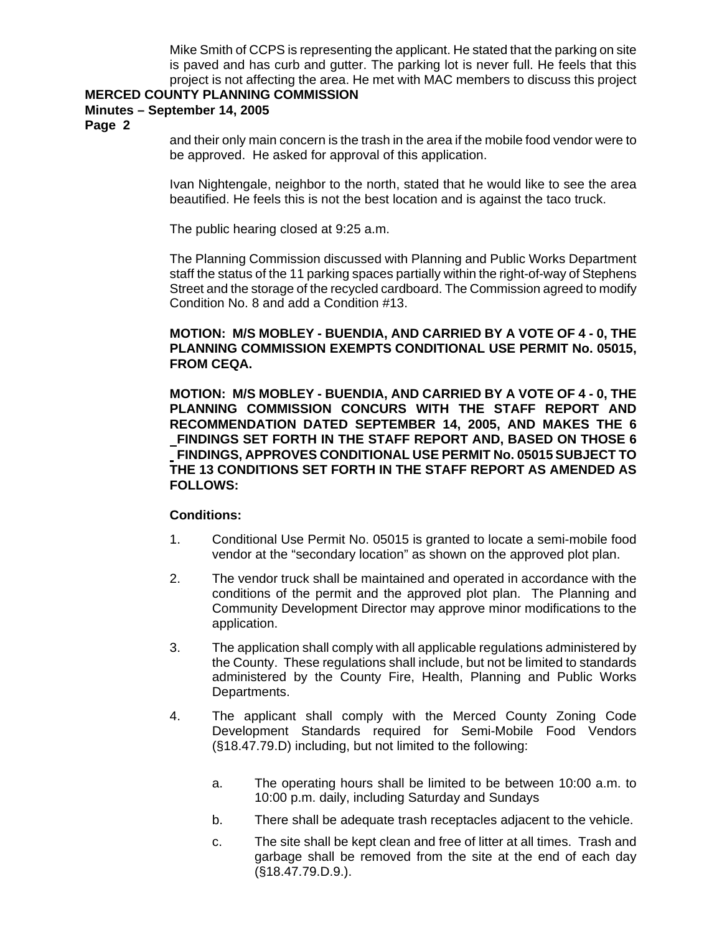Mike Smith of CCPS is representing the applicant. He stated that the parking on site is paved and has curb and gutter. The parking lot is never full. He feels that this project is not affecting the area. He met with MAC members to discuss this project

### **MERCED COUNTY PLANNING COMMISSION**

# **Minutes – September 14, 2005**

**Page 2** 

and their only main concern is the trash in the area if the mobile food vendor were to be approved. He asked for approval of this application.

Ivan Nightengale, neighbor to the north, stated that he would like to see the area beautified. He feels this is not the best location and is against the taco truck.

The public hearing closed at 9:25 a.m.

The Planning Commission discussed with Planning and Public Works Department staff the status of the 11 parking spaces partially within the right-of-way of Stephens Street and the storage of the recycled cardboard. The Commission agreed to modify Condition No. 8 and add a Condition #13.

# **MOTION: M/S MOBLEY - BUENDIA, AND CARRIED BY A VOTE OF 4 - 0, THE PLANNING COMMISSION EXEMPTS CONDITIONAL USE PERMIT No. 05015, FROM CEQA.**

**MOTION: M/S MOBLEY - BUENDIA, AND CARRIED BY A VOTE OF 4 - 0, THE PLANNING COMMISSION CONCURS WITH THE STAFF REPORT AND RECOMMENDATION DATED SEPTEMBER 14, 2005, AND MAKES THE 6 FINDINGS SET FORTH IN THE STAFF REPORT AND, BASED ON THOSE 6 FINDINGS, APPROVES CONDITIONAL USE PERMIT No. 05015 SUBJECT TO THE 13 CONDITIONS SET FORTH IN THE STAFF REPORT AS AMENDED AS FOLLOWS:** 

# **Conditions:**

- 1. Conditional Use Permit No. 05015 is granted to locate a semi-mobile food vendor at the "secondary location" as shown on the approved plot plan.
- 2. The vendor truck shall be maintained and operated in accordance with the conditions of the permit and the approved plot plan. The Planning and Community Development Director may approve minor modifications to the application.
- 3. The application shall comply with all applicable regulations administered by the County. These regulations shall include, but not be limited to standards administered by the County Fire, Health, Planning and Public Works Departments.
- 4. The applicant shall comply with the Merced County Zoning Code Development Standards required for Semi-Mobile Food Vendors (§18.47.79.D) including, but not limited to the following:
	- a. The operating hours shall be limited to be between 10:00 a.m. to 10:00 p.m. daily, including Saturday and Sundays
	- b. There shall be adequate trash receptacles adjacent to the vehicle.
	- c. The site shall be kept clean and free of litter at all times. Trash and garbage shall be removed from the site at the end of each day (§18.47.79.D.9.).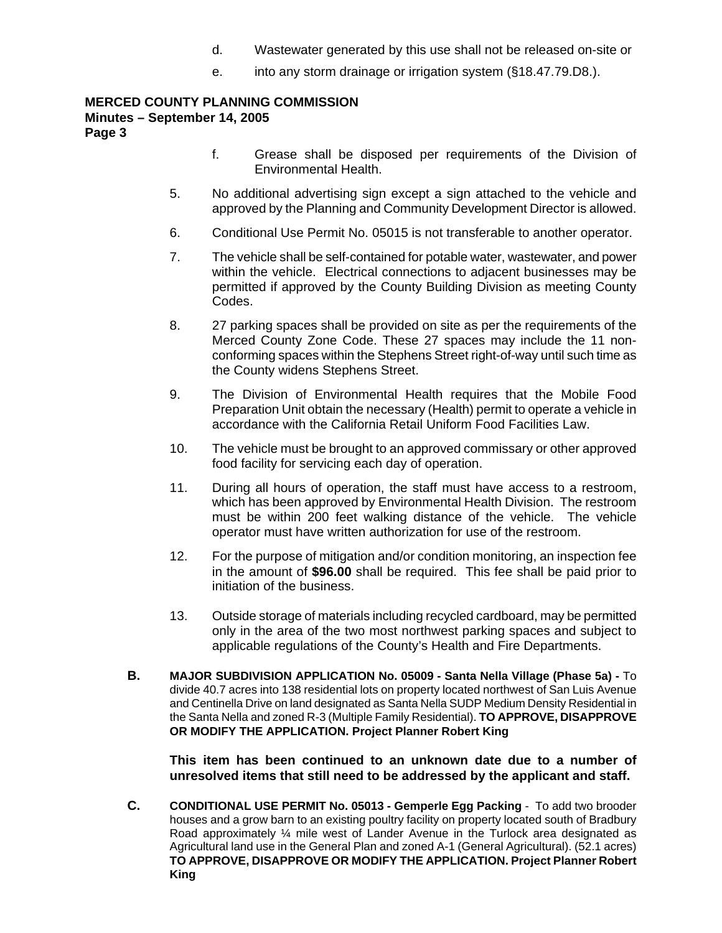- d. Wastewater generated by this use shall not be released on-site or
- e. into any storm drainage or irrigation system (§18.47.79.D8.).

## **MERCED COUNTY PLANNING COMMISSION Minutes – September 14, 2005 Page 3**

- f. Grease shall be disposed per requirements of the Division of Environmental Health.
- 5. No additional advertising sign except a sign attached to the vehicle and approved by the Planning and Community Development Director is allowed.
- 6. Conditional Use Permit No. 05015 is not transferable to another operator.
- 7. The vehicle shall be self-contained for potable water, wastewater, and power within the vehicle. Electrical connections to adjacent businesses may be permitted if approved by the County Building Division as meeting County Codes.
- 8. 27 parking spaces shall be provided on site as per the requirements of the Merced County Zone Code. These 27 spaces may include the 11 nonconforming spaces within the Stephens Street right-of-way until such time as the County widens Stephens Street.
- 9. The Division of Environmental Health requires that the Mobile Food Preparation Unit obtain the necessary (Health) permit to operate a vehicle in accordance with the California Retail Uniform Food Facilities Law.
- 10. The vehicle must be brought to an approved commissary or other approved food facility for servicing each day of operation.
- 11. During all hours of operation, the staff must have access to a restroom, which has been approved by Environmental Health Division. The restroom must be within 200 feet walking distance of the vehicle. The vehicle operator must have written authorization for use of the restroom.
- 12. For the purpose of mitigation and/or condition monitoring, an inspection fee in the amount of **\$96.00** shall be required. This fee shall be paid prior to initiation of the business.
- 13. Outside storage of materials including recycled cardboard, may be permitted only in the area of the two most northwest parking spaces and subject to applicable regulations of the County's Health and Fire Departments.
- **B. MAJOR SUBDIVISION APPLICATION No. 05009 Santa Nella Village (Phase 5a)** To divide 40.7 acres into 138 residential lots on property located northwest of San Luis Avenue and Centinella Drive on land designated as Santa Nella SUDP Medium Density Residential in the Santa Nella and zoned R-3 (Multiple Family Residential). **TO APPROVE, DISAPPROVE OR MODIFY THE APPLICATION. Project Planner Robert King**

**This item has been continued to an unknown date due to a number of unresolved items that still need to be addressed by the applicant and staff.** 

**C. CONDITIONAL USE PERMIT No. 05013 - Gemperle Egg Packing** - To add two brooder houses and a grow barn to an existing poultry facility on property located south of Bradbury Road approximately ¼ mile west of Lander Avenue in the Turlock area designated as Agricultural land use in the General Plan and zoned A-1 (General Agricultural). (52.1 acres) **TO APPROVE, DISAPPROVE OR MODIFY THE APPLICATION. Project Planner Robert King**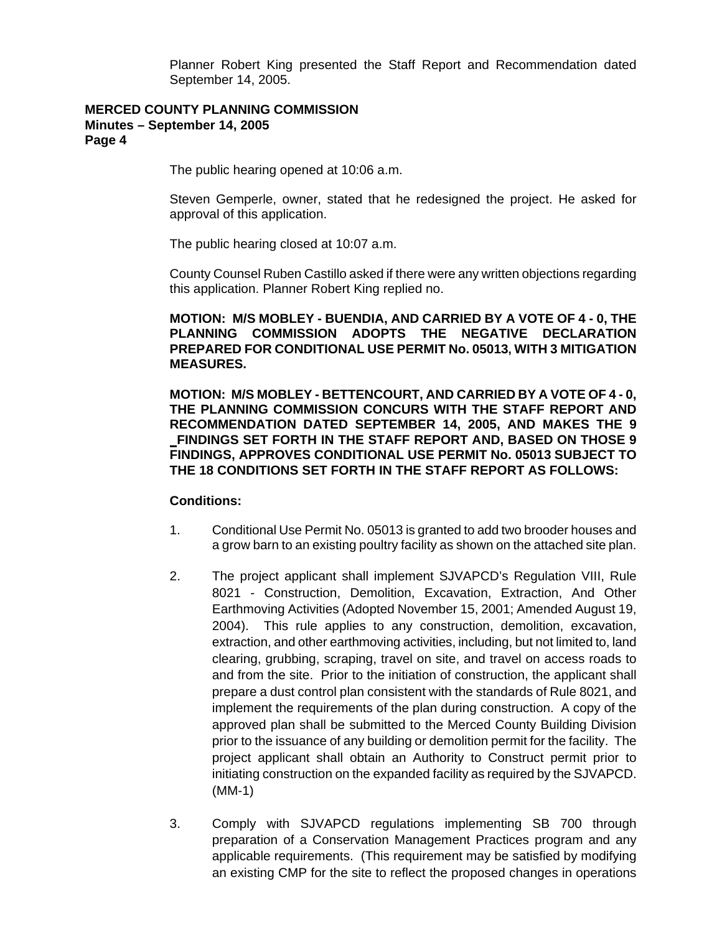Planner Robert King presented the Staff Report and Recommendation dated September 14, 2005.

### **MERCED COUNTY PLANNING COMMISSION Minutes – September 14, 2005 Page 4**

The public hearing opened at 10:06 a.m.

Steven Gemperle, owner, stated that he redesigned the project. He asked for approval of this application.

The public hearing closed at 10:07 a.m.

County Counsel Ruben Castillo asked if there were any written objections regarding this application. Planner Robert King replied no.

**MOTION: M/S MOBLEY - BUENDIA, AND CARRIED BY A VOTE OF 4 - 0, THE PLANNING COMMISSION ADOPTS THE NEGATIVE DECLARATION PREPARED FOR CONDITIONAL USE PERMIT No. 05013, WITH 3 MITIGATION MEASURES.** 

**MOTION: M/S MOBLEY - BETTENCOURT, AND CARRIED BY A VOTE OF 4 - 0, THE PLANNING COMMISSION CONCURS WITH THE STAFF REPORT AND RECOMMENDATION DATED SEPTEMBER 14, 2005, AND MAKES THE 9 FINDINGS SET FORTH IN THE STAFF REPORT AND, BASED ON THOSE 9 FINDINGS, APPROVES CONDITIONAL USE PERMIT No. 05013 SUBJECT TO THE 18 CONDITIONS SET FORTH IN THE STAFF REPORT AS FOLLOWS:** 

#### **Conditions:**

- 1. Conditional Use Permit No. 05013 is granted to add two brooder houses and a grow barn to an existing poultry facility as shown on the attached site plan.
- 2. The project applicant shall implement SJVAPCD's Regulation VIII, Rule 8021 - Construction, Demolition, Excavation, Extraction, And Other Earthmoving Activities (Adopted November 15, 2001; Amended August 19, 2004). This rule applies to any construction, demolition, excavation, extraction, and other earthmoving activities, including, but not limited to, land clearing, grubbing, scraping, travel on site, and travel on access roads to and from the site. Prior to the initiation of construction, the applicant shall prepare a dust control plan consistent with the standards of Rule 8021, and implement the requirements of the plan during construction. A copy of the approved plan shall be submitted to the Merced County Building Division prior to the issuance of any building or demolition permit for the facility. The project applicant shall obtain an Authority to Construct permit prior to initiating construction on the expanded facility as required by the SJVAPCD. (MM-1)
- 3. Comply with SJVAPCD regulations implementing SB 700 through preparation of a Conservation Management Practices program and any applicable requirements. (This requirement may be satisfied by modifying an existing CMP for the site to reflect the proposed changes in operations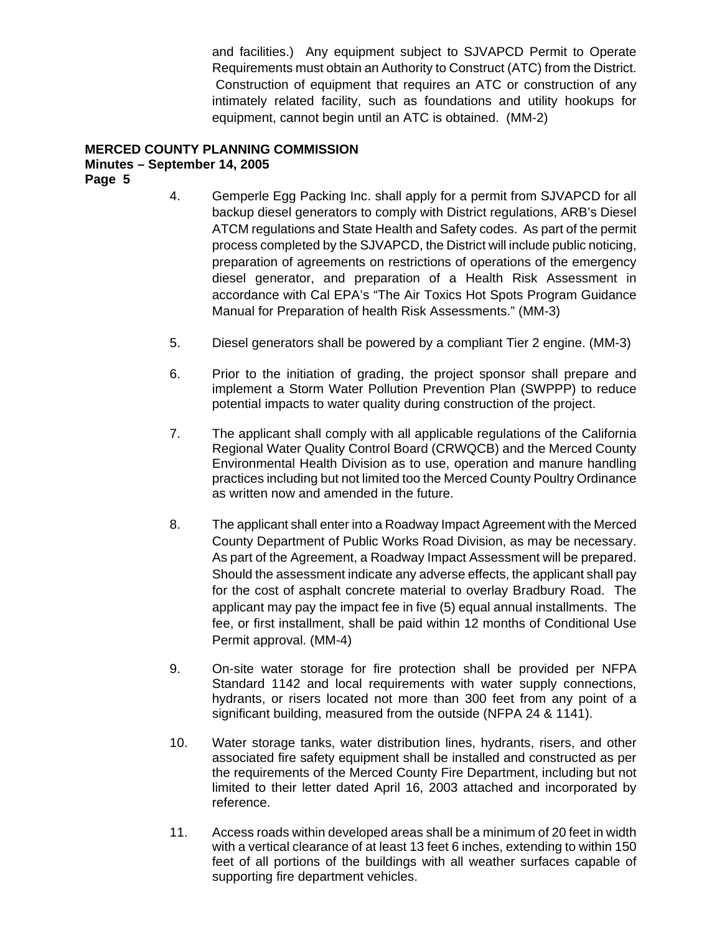and facilities.) Any equipment subject to SJVAPCD Permit to Operate Requirements must obtain an Authority to Construct (ATC) from the District. Construction of equipment that requires an ATC or construction of any intimately related facility, such as foundations and utility hookups for equipment, cannot begin until an ATC is obtained. (MM-2)

# **MERCED COUNTY PLANNING COMMISSION**

# **Minutes – September 14, 2005**

**Page 5** 

- 4. Gemperle Egg Packing Inc. shall apply for a permit from SJVAPCD for all backup diesel generators to comply with District regulations, ARB's Diesel ATCM regulations and State Health and Safety codes. As part of the permit process completed by the SJVAPCD, the District will include public noticing, preparation of agreements on restrictions of operations of the emergency diesel generator, and preparation of a Health Risk Assessment in accordance with Cal EPA's "The Air Toxics Hot Spots Program Guidance Manual for Preparation of health Risk Assessments." (MM-3)
- 5. Diesel generators shall be powered by a compliant Tier 2 engine. (MM-3)
- 6. Prior to the initiation of grading, the project sponsor shall prepare and implement a Storm Water Pollution Prevention Plan (SWPPP) to reduce potential impacts to water quality during construction of the project.
- 7. The applicant shall comply with all applicable regulations of the California Regional Water Quality Control Board (CRWQCB) and the Merced County Environmental Health Division as to use, operation and manure handling practices including but not limited too the Merced County Poultry Ordinance as written now and amended in the future.
- 8. The applicant shall enter into a Roadway Impact Agreement with the Merced County Department of Public Works Road Division, as may be necessary. As part of the Agreement, a Roadway Impact Assessment will be prepared. Should the assessment indicate any adverse effects, the applicant shall pay for the cost of asphalt concrete material to overlay Bradbury Road. The applicant may pay the impact fee in five (5) equal annual installments. The fee, or first installment, shall be paid within 12 months of Conditional Use Permit approval. (MM-4)
- 9. On-site water storage for fire protection shall be provided per NFPA Standard 1142 and local requirements with water supply connections, hydrants, or risers located not more than 300 feet from any point of a significant building, measured from the outside (NFPA 24 & 1141).
- 10. Water storage tanks, water distribution lines, hydrants, risers, and other associated fire safety equipment shall be installed and constructed as per the requirements of the Merced County Fire Department, including but not limited to their letter dated April 16, 2003 attached and incorporated by reference.
- 11. Access roads within developed areas shall be a minimum of 20 feet in width with a vertical clearance of at least 13 feet 6 inches, extending to within 150 feet of all portions of the buildings with all weather surfaces capable of supporting fire department vehicles.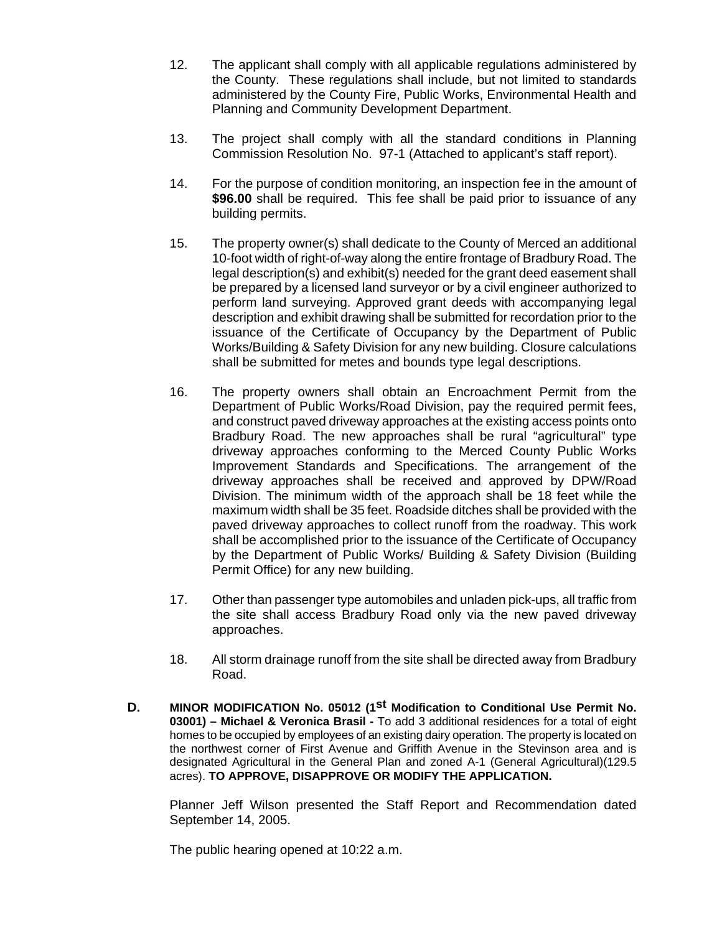- 12. The applicant shall comply with all applicable regulations administered by the County. These regulations shall include, but not limited to standards administered by the County Fire, Public Works, Environmental Health and Planning and Community Development Department.
- 13. The project shall comply with all the standard conditions in Planning Commission Resolution No. 97-1 (Attached to applicant's staff report).
- 14. For the purpose of condition monitoring, an inspection fee in the amount of **\$96.00** shall be required. This fee shall be paid prior to issuance of any building permits.
- 15. The property owner(s) shall dedicate to the County of Merced an additional 10-foot width of right-of-way along the entire frontage of Bradbury Road. The legal description(s) and exhibit(s) needed for the grant deed easement shall be prepared by a licensed land surveyor or by a civil engineer authorized to perform land surveying. Approved grant deeds with accompanying legal description and exhibit drawing shall be submitted for recordation prior to the issuance of the Certificate of Occupancy by the Department of Public Works/Building & Safety Division for any new building. Closure calculations shall be submitted for metes and bounds type legal descriptions.
- 16. The property owners shall obtain an Encroachment Permit from the Department of Public Works/Road Division, pay the required permit fees, and construct paved driveway approaches at the existing access points onto Bradbury Road. The new approaches shall be rural "agricultural" type driveway approaches conforming to the Merced County Public Works Improvement Standards and Specifications. The arrangement of the driveway approaches shall be received and approved by DPW/Road Division. The minimum width of the approach shall be 18 feet while the maximum width shall be 35 feet. Roadside ditches shall be provided with the paved driveway approaches to collect runoff from the roadway. This work shall be accomplished prior to the issuance of the Certificate of Occupancy by the Department of Public Works/ Building & Safety Division (Building Permit Office) for any new building.
- 17. Other than passenger type automobiles and unladen pick-ups, all traffic from the site shall access Bradbury Road only via the new paved driveway approaches.
- 18. All storm drainage runoff from the site shall be directed away from Bradbury Road.
- **D. MINOR MODIFICATION No. 05012 (1st Modification to Conditional Use Permit No. 03001) – Michael & Veronica Brasil -** To add 3 additional residences for a total of eight homes to be occupied by employees of an existing dairy operation. The property is located on the northwest corner of First Avenue and Griffith Avenue in the Stevinson area and is designated Agricultural in the General Plan and zoned A-1 (General Agricultural)(129.5 acres). **TO APPROVE, DISAPPROVE OR MODIFY THE APPLICATION.**

Planner Jeff Wilson presented the Staff Report and Recommendation dated September 14, 2005.

The public hearing opened at 10:22 a.m.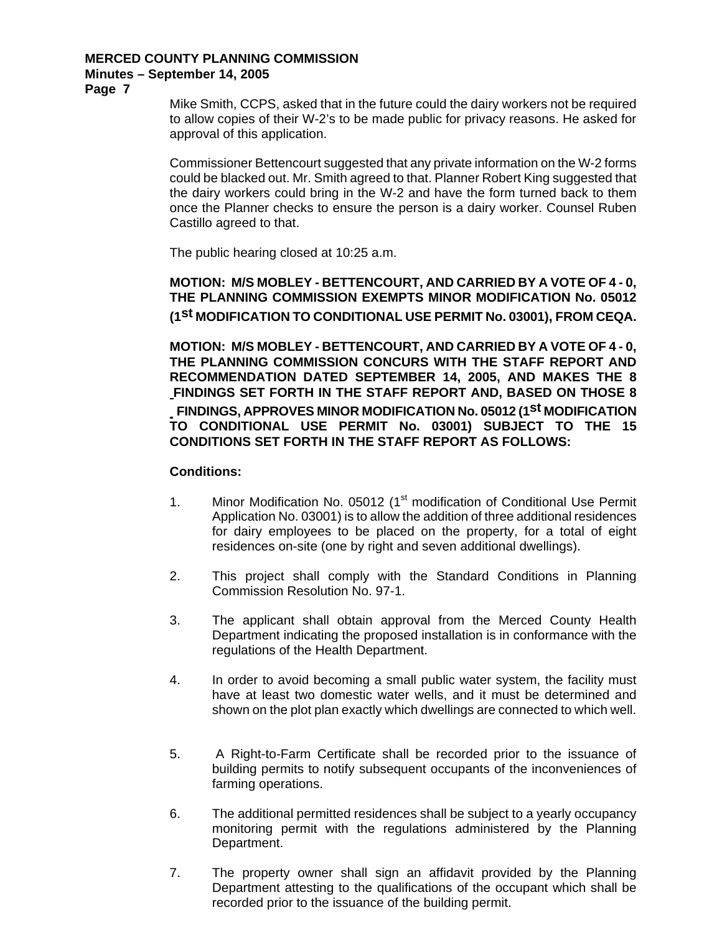# **MERCED COUNTY PLANNING COMMISSION**

# **Minutes – September 14, 2005**

**Page 7** 

Mike Smith, CCPS, asked that in the future could the dairy workers not be required to allow copies of their W-2's to be made public for privacy reasons. He asked for approval of this application.

Commissioner Bettencourt suggested that any private information on the W-2 forms could be blacked out. Mr. Smith agreed to that. Planner Robert King suggested that the dairy workers could bring in the W-2 and have the form turned back to them once the Planner checks to ensure the person is a dairy worker. Counsel Ruben Castillo agreed to that.

The public hearing closed at 10:25 a.m.

**MOTION: M/S MOBLEY - BETTENCOURT, AND CARRIED BY A VOTE OF 4 - 0, THE PLANNING COMMISSION EXEMPTS MINOR MODIFICATION No. 05012 (1st MODIFICATION TO CONDITIONAL USE PERMIT No. 03001), FROM CEQA.** 

**MOTION: M/S MOBLEY - BETTENCOURT, AND CARRIED BY A VOTE OF 4 - 0, THE PLANNING COMMISSION CONCURS WITH THE STAFF REPORT AND RECOMMENDATION DATED SEPTEMBER 14, 2005, AND MAKES THE 8 FINDINGS SET FORTH IN THE STAFF REPORT AND, BASED ON THOSE 8 FINDINGS, APPROVES MINOR MODIFICATION No. 05012 (1st MODIFICATION TO CONDITIONAL USE PERMIT No. 03001) SUBJECT TO THE 15 CONDITIONS SET FORTH IN THE STAFF REPORT AS FOLLOWS:** 

### **Conditions:**

- 1. Minor Modification No. 05012 (1<sup>st</sup> modification of Conditional Use Permit Application No. 03001) is to allow the addition of three additional residences for dairy employees to be placed on the property, for a total of eight residences on-site (one by right and seven additional dwellings).
- 2. This project shall comply with the Standard Conditions in Planning Commission Resolution No. 97-1.
- 3. The applicant shall obtain approval from the Merced County Health Department indicating the proposed installation is in conformance with the regulations of the Health Department.
- 4. In order to avoid becoming a small public water system, the facility must have at least two domestic water wells, and it must be determined and shown on the plot plan exactly which dwellings are connected to which well.
- 5. A Right-to-Farm Certificate shall be recorded prior to the issuance of building permits to notify subsequent occupants of the inconveniences of farming operations.
- 6. The additional permitted residences shall be subject to a yearly occupancy monitoring permit with the regulations administered by the Planning Department.
- 7. The property owner shall sign an affidavit provided by the Planning Department attesting to the qualifications of the occupant which shall be recorded prior to the issuance of the building permit.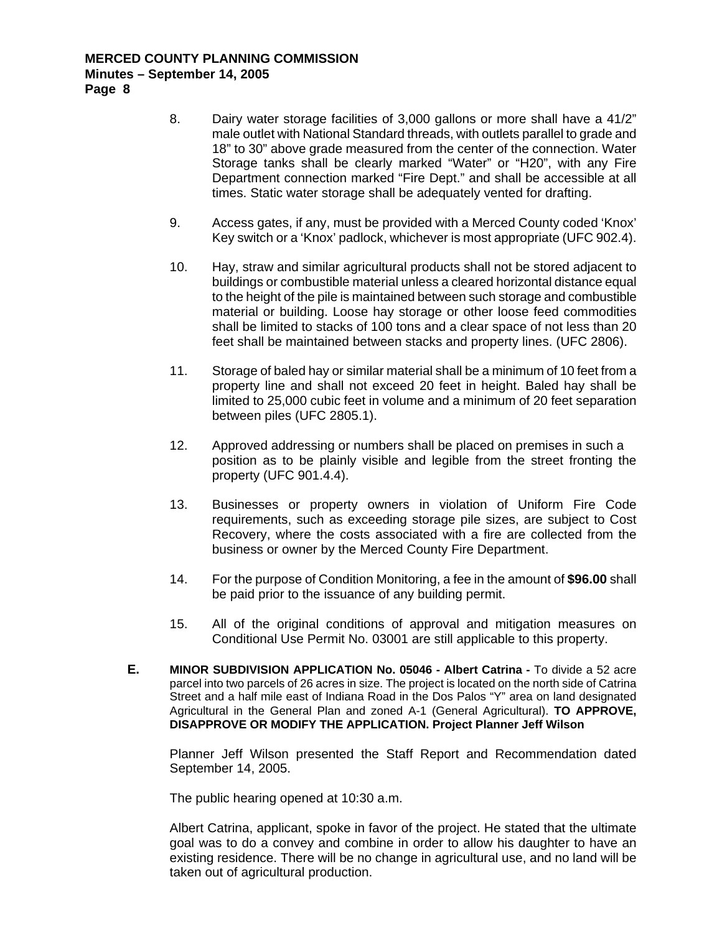### **MERCED COUNTY PLANNING COMMISSION Minutes – September 14, 2005 Page 8**

8. Dairy water storage facilities of 3,000 gallons or more shall have a 41/2" male outlet with National Standard threads, with outlets parallel to grade and 18" to 30" above grade measured from the center of the connection. Water Storage tanks shall be clearly marked "Water" or "H20", with any Fire Department connection marked "Fire Dept." and shall be accessible at all times. Static water storage shall be adequately vented for drafting.

- 9. Access gates, if any, must be provided with a Merced County coded 'Knox' Key switch or a 'Knox' padlock, whichever is most appropriate (UFC 902.4).
- 10. Hay, straw and similar agricultural products shall not be stored adjacent to buildings or combustible material unless a cleared horizontal distance equal to the height of the pile is maintained between such storage and combustible material or building. Loose hay storage or other loose feed commodities shall be limited to stacks of 100 tons and a clear space of not less than 20 feet shall be maintained between stacks and property lines. (UFC 2806).
- 11. Storage of baled hay or similar material shall be a minimum of 10 feet from a property line and shall not exceed 20 feet in height. Baled hay shall be limited to 25,000 cubic feet in volume and a minimum of 20 feet separation between piles (UFC 2805.1).
- 12. Approved addressing or numbers shall be placed on premises in such a position as to be plainly visible and legible from the street fronting the property (UFC 901.4.4).
- 13. Businesses or property owners in violation of Uniform Fire Code requirements, such as exceeding storage pile sizes, are subject to Cost Recovery, where the costs associated with a fire are collected from the business or owner by the Merced County Fire Department.
- 14. For the purpose of Condition Monitoring, a fee in the amount of **\$96.00** shall be paid prior to the issuance of any building permit.
- 15. All of the original conditions of approval and mitigation measures on Conditional Use Permit No. 03001 are still applicable to this property.
- **E. MINOR SUBDIVISION APPLICATION No. 05046 Albert Catrina** To divide a 52 acre parcel into two parcels of 26 acres in size. The project is located on the north side of Catrina Street and a half mile east of Indiana Road in the Dos Palos "Y" area on land designated Agricultural in the General Plan and zoned A-1 (General Agricultural). **TO APPROVE, DISAPPROVE OR MODIFY THE APPLICATION. Project Planner Jeff Wilson**

Planner Jeff Wilson presented the Staff Report and Recommendation dated September 14, 2005.

The public hearing opened at 10:30 a.m.

Albert Catrina, applicant, spoke in favor of the project. He stated that the ultimate goal was to do a convey and combine in order to allow his daughter to have an existing residence. There will be no change in agricultural use, and no land will be taken out of agricultural production.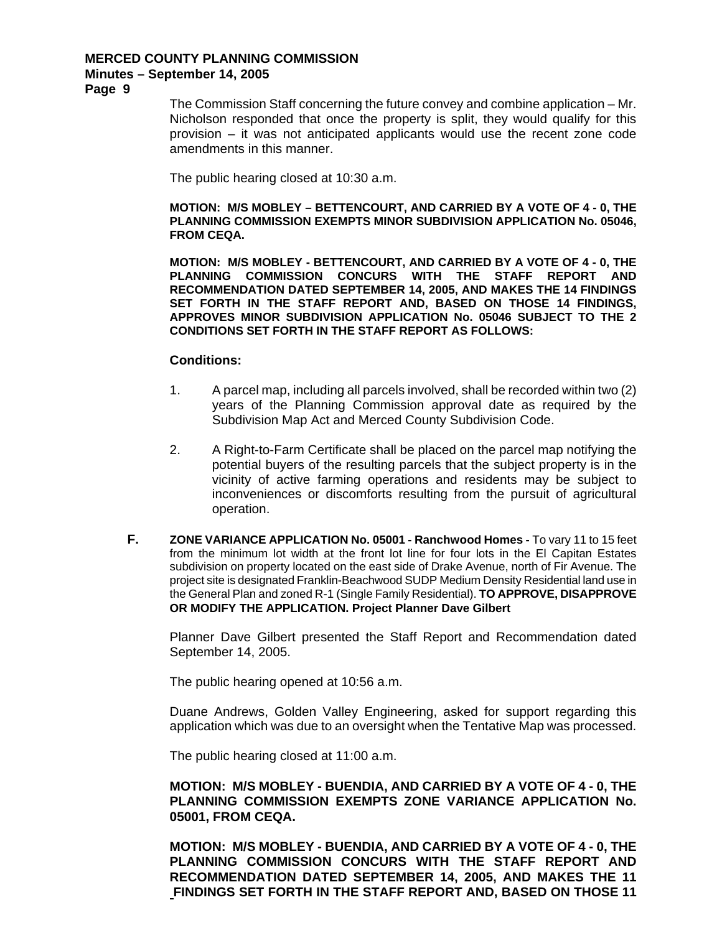# **MERCED COUNTY PLANNING COMMISSION**

#### **Minutes – September 14, 2005**

**Page 9** 

The Commission Staff concerning the future convey and combine application – Mr. Nicholson responded that once the property is split, they would qualify for this provision – it was not anticipated applicants would use the recent zone code amendments in this manner.

The public hearing closed at 10:30 a.m.

**MOTION: M/S MOBLEY – BETTENCOURT, AND CARRIED BY A VOTE OF 4 - 0, THE PLANNING COMMISSION EXEMPTS MINOR SUBDIVISION APPLICATION No. 05046, FROM CEQA.** 

**MOTION: M/S MOBLEY - BETTENCOURT, AND CARRIED BY A VOTE OF 4 - 0, THE PLANNING COMMISSION CONCURS WITH THE STAFF REPORT AND RECOMMENDATION DATED SEPTEMBER 14, 2005, AND MAKES THE 14 FINDINGS SET FORTH IN THE STAFF REPORT AND, BASED ON THOSE 14 FINDINGS, APPROVES MINOR SUBDIVISION APPLICATION No. 05046 SUBJECT TO THE 2 CONDITIONS SET FORTH IN THE STAFF REPORT AS FOLLOWS:** 

#### **Conditions:**

- 1. A parcel map, including all parcels involved, shall be recorded within two (2) years of the Planning Commission approval date as required by the Subdivision Map Act and Merced County Subdivision Code.
- 2. A Right-to-Farm Certificate shall be placed on the parcel map notifying the potential buyers of the resulting parcels that the subject property is in the vicinity of active farming operations and residents may be subject to inconveniences or discomforts resulting from the pursuit of agricultural operation.
- **F. ZONE VARIANCE APPLICATION No. 05001 Ranchwood Homes** To vary 11 to 15 feet from the minimum lot width at the front lot line for four lots in the El Capitan Estates subdivision on property located on the east side of Drake Avenue, north of Fir Avenue. The project site is designated Franklin-Beachwood SUDP Medium Density Residential land use in the General Plan and zoned R-1 (Single Family Residential). **TO APPROVE, DISAPPROVE OR MODIFY THE APPLICATION. Project Planner Dave Gilbert**

Planner Dave Gilbert presented the Staff Report and Recommendation dated September 14, 2005.

The public hearing opened at 10:56 a.m.

Duane Andrews, Golden Valley Engineering, asked for support regarding this application which was due to an oversight when the Tentative Map was processed.

The public hearing closed at 11:00 a.m.

**MOTION: M/S MOBLEY - BUENDIA, AND CARRIED BY A VOTE OF 4 - 0, THE PLANNING COMMISSION EXEMPTS ZONE VARIANCE APPLICATION No. 05001, FROM CEQA.** 

**MOTION: M/S MOBLEY - BUENDIA, AND CARRIED BY A VOTE OF 4 - 0, THE PLANNING COMMISSION CONCURS WITH THE STAFF REPORT AND RECOMMENDATION DATED SEPTEMBER 14, 2005, AND MAKES THE 11 FINDINGS SET FORTH IN THE STAFF REPORT AND, BASED ON THOSE 11**